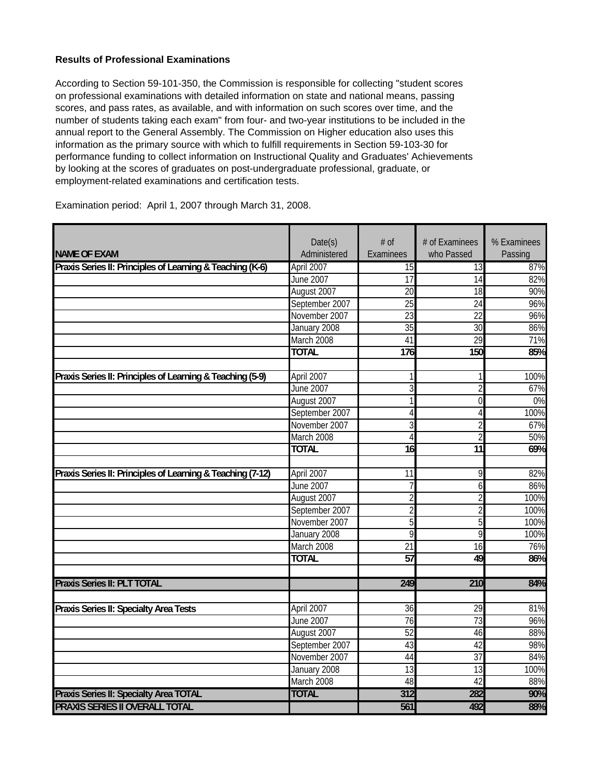## **Results of Professional Examinations**

According to Section 59-101-350, the Commission is responsible for collecting "student scores on professional examinations with detailed information on state and national means, passing scores, and pass rates, as available, and with information on such scores over time, and the number of students taking each exam" from four- and two-year institutions to be included in the annual report to the General Assembly. The Commission on Higher education also uses this information as the primary source with which to fulfill requirements in Section 59-103-30 for performance funding to collect information on Instructional Quality and Graduates' Achievements by looking at the scores of graduates on post-undergraduate professional, graduate, or employment-related examinations and certification tests.

|                                                            | Date(s)          | # of            | # of Examinees  | % Examinees |
|------------------------------------------------------------|------------------|-----------------|-----------------|-------------|
| <b>NAME OF EXAM</b>                                        | Administered     | Examinees       | who Passed      | Passing     |
| Praxis Series II: Principles of Learning & Teaching (K-6)  | April 2007       | $\overline{15}$ | 13              | 87%         |
|                                                            | June 2007        | $\overline{17}$ | 14              | 82%         |
|                                                            | August 2007      | $\overline{20}$ | 18              | 90%         |
|                                                            | September 2007   | $\overline{25}$ | $\overline{24}$ | 96%         |
|                                                            | November 2007    | $\overline{23}$ | $\overline{22}$ | 96%         |
|                                                            | January 2008     | $\overline{35}$ | $\overline{30}$ | 86%         |
|                                                            | March 2008       | 41              | 29              | 71%         |
|                                                            | <b>TOTAL</b>     | 176             | 150             | 85%         |
|                                                            |                  |                 |                 |             |
| Praxis Series II: Principles of Learning & Teaching (5-9)  | April 2007       | 1               | 1               | 100%        |
|                                                            | June 2007        | $\overline{3}$  | $\overline{2}$  | 67%         |
|                                                            | August 2007      | $\mathbf{1}$    | $\overline{0}$  | 0%          |
|                                                            | September 2007   | $\overline{4}$  | $\overline{4}$  | 100%        |
|                                                            | November 2007    | 3               | $\overline{c}$  | 67%         |
|                                                            | March 2008       | $\overline{4}$  | $\overline{2}$  | 50%         |
|                                                            | <b>TOTAL</b>     | $\overline{16}$ | $\overline{11}$ | 69%         |
|                                                            |                  |                 |                 |             |
| Praxis Series II: Principles of Learning & Teaching (7-12) | April 2007       | 11              | 9               | 82%         |
|                                                            | <b>June 2007</b> | $\overline{7}$  | 6               | 86%         |
|                                                            | August 2007      | $\overline{2}$  | $\overline{2}$  | 100%        |
|                                                            | September 2007   | $\overline{2}$  | $\overline{c}$  | 100%        |
|                                                            | November 2007    | 5               | 5               | 100%        |
|                                                            | January 2008     | 9               | 9               | 100%        |
|                                                            | March 2008       | $\overline{21}$ | $\overline{16}$ | 76%         |
|                                                            | <b>TOTAL</b>     | $\overline{57}$ | 49              | 86%         |
|                                                            |                  |                 |                 |             |
| Praxis Series II: PLT TOTAL                                |                  | 249             | 210             | 84%         |
| Praxis Series II: Specialty Area Tests                     | April 2007       | $\overline{36}$ | 29              | 81%         |
|                                                            | June 2007        | 76              | 73              | 96%         |
|                                                            | August 2007      | 52              | 46              | 88%         |
|                                                            | September 2007   | 43              | 42              | 98%         |
|                                                            | November 2007    | 44              | $\overline{37}$ | 84%         |
|                                                            | January 2008     | $\overline{13}$ | 13              | 100%        |
|                                                            | March 2008       | 48              | 42              | 88%         |
| Praxis Series II: Specialty Area TOTAL                     | <b>TOTAL</b>     | 312             | 282             | 90%         |
|                                                            |                  |                 |                 |             |
| <b>PRAXIS SERIES II OVERALL TOTAL</b>                      |                  | 561             | 492             | 88%         |

Examination period: April 1, 2007 through March 31, 2008.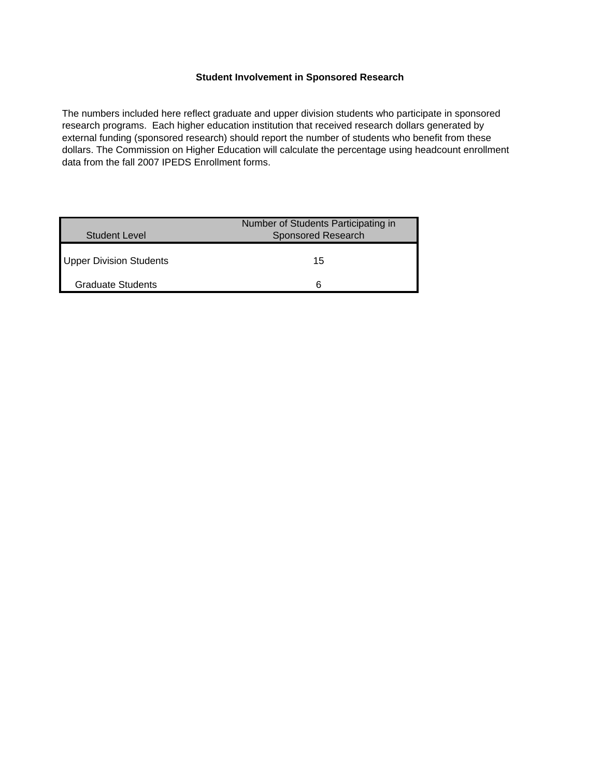## **Student Involvement in Sponsored Research**

The numbers included here reflect graduate and upper division students who participate in sponsored research programs. Each higher education institution that received research dollars generated by external funding (sponsored research) should report the number of students who benefit from these dollars. The Commission on Higher Education will calculate the percentage using headcount enrollment data from the fall 2007 IPEDS Enrollment forms.

| Student Level                  | Number of Students Participating in<br><b>Sponsored Research</b> |
|--------------------------------|------------------------------------------------------------------|
| <b>Upper Division Students</b> | 15                                                               |
| <b>Graduate Students</b>       |                                                                  |